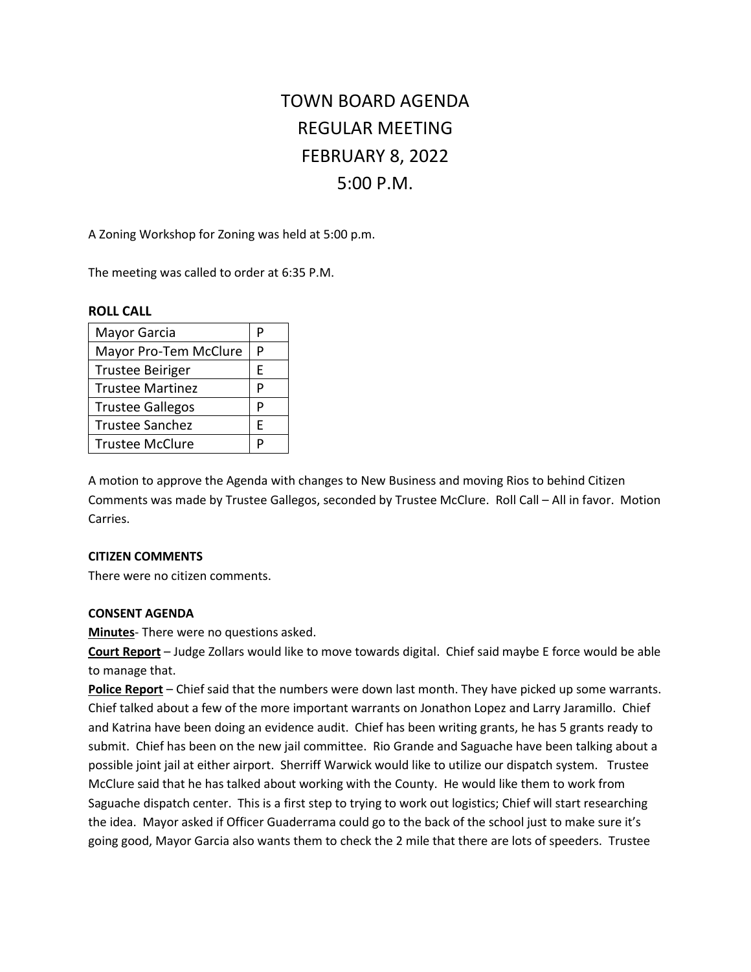# TOWN BOARD AGENDA REGULAR MEETING FEBRUARY 8, 2022 5:00 P.M.

A Zoning Workshop for Zoning was held at 5:00 p.m.

The meeting was called to order at 6:35 P.M.

#### **ROLL CALL**

| Mayor Garcia            |   |
|-------------------------|---|
| Mayor Pro-Tem McClure   | P |
| <b>Trustee Beiriger</b> | E |
| <b>Trustee Martinez</b> | D |
| <b>Trustee Gallegos</b> | P |
| <b>Trustee Sanchez</b>  | F |
| <b>Trustee McClure</b>  |   |

A motion to approve the Agenda with changes to New Business and moving Rios to behind Citizen Comments was made by Trustee Gallegos, seconded by Trustee McClure. Roll Call – All in favor. Motion Carries.

## **CITIZEN COMMENTS**

There were no citizen comments.

## **CONSENT AGENDA**

**Minutes**- There were no questions asked.

**Court Report** – Judge Zollars would like to move towards digital. Chief said maybe E force would be able to manage that.

**Police Report** – Chief said that the numbers were down last month. They have picked up some warrants. Chief talked about a few of the more important warrants on Jonathon Lopez and Larry Jaramillo. Chief and Katrina have been doing an evidence audit. Chief has been writing grants, he has 5 grants ready to submit. Chief has been on the new jail committee. Rio Grande and Saguache have been talking about a possible joint jail at either airport. Sherriff Warwick would like to utilize our dispatch system. Trustee McClure said that he has talked about working with the County. He would like them to work from Saguache dispatch center. This is a first step to trying to work out logistics; Chief will start researching the idea. Mayor asked if Officer Guaderrama could go to the back of the school just to make sure it's going good, Mayor Garcia also wants them to check the 2 mile that there are lots of speeders. Trustee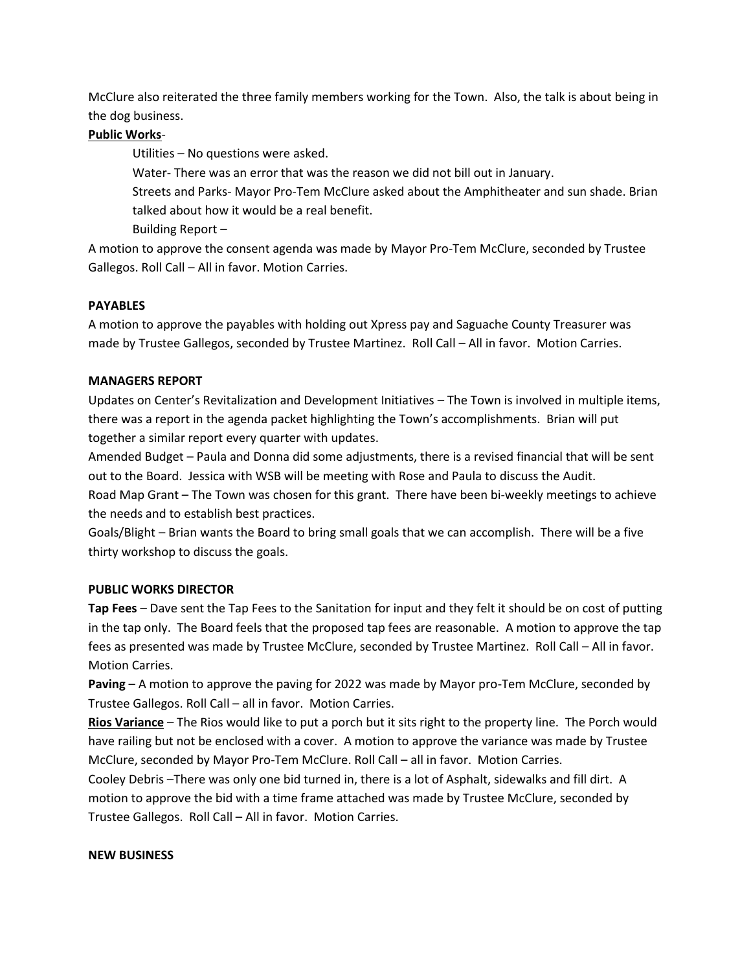McClure also reiterated the three family members working for the Town. Also, the talk is about being in the dog business.

# **Public Works**-

Utilities – No questions were asked.

Water- There was an error that was the reason we did not bill out in January.

Streets and Parks- Mayor Pro-Tem McClure asked about the Amphitheater and sun shade. Brian talked about how it would be a real benefit.

Building Report –

A motion to approve the consent agenda was made by Mayor Pro-Tem McClure, seconded by Trustee Gallegos. Roll Call – All in favor. Motion Carries.

## **PAYABLES**

A motion to approve the payables with holding out Xpress pay and Saguache County Treasurer was made by Trustee Gallegos, seconded by Trustee Martinez. Roll Call – All in favor. Motion Carries.

## **MANAGERS REPORT**

Updates on Center's Revitalization and Development Initiatives – The Town is involved in multiple items, there was a report in the agenda packet highlighting the Town's accomplishments. Brian will put together a similar report every quarter with updates.

Amended Budget – Paula and Donna did some adjustments, there is a revised financial that will be sent out to the Board. Jessica with WSB will be meeting with Rose and Paula to discuss the Audit. Road Map Grant – The Town was chosen for this grant. There have been bi-weekly meetings to achieve

the needs and to establish best practices.

Goals/Blight – Brian wants the Board to bring small goals that we can accomplish. There will be a five thirty workshop to discuss the goals.

## **PUBLIC WORKS DIRECTOR**

**Tap Fees** – Dave sent the Tap Fees to the Sanitation for input and they felt it should be on cost of putting in the tap only. The Board feels that the proposed tap fees are reasonable. A motion to approve the tap fees as presented was made by Trustee McClure, seconded by Trustee Martinez. Roll Call – All in favor. Motion Carries.

**Paving** – A motion to approve the paving for 2022 was made by Mayor pro-Tem McClure, seconded by Trustee Gallegos. Roll Call – all in favor. Motion Carries.

**Rios Variance** – The Rios would like to put a porch but it sits right to the property line. The Porch would have railing but not be enclosed with a cover. A motion to approve the variance was made by Trustee McClure, seconded by Mayor Pro-Tem McClure. Roll Call – all in favor. Motion Carries.

Cooley Debris –There was only one bid turned in, there is a lot of Asphalt, sidewalks and fill dirt. A motion to approve the bid with a time frame attached was made by Trustee McClure, seconded by Trustee Gallegos. Roll Call – All in favor. Motion Carries.

## **NEW BUSINESS**